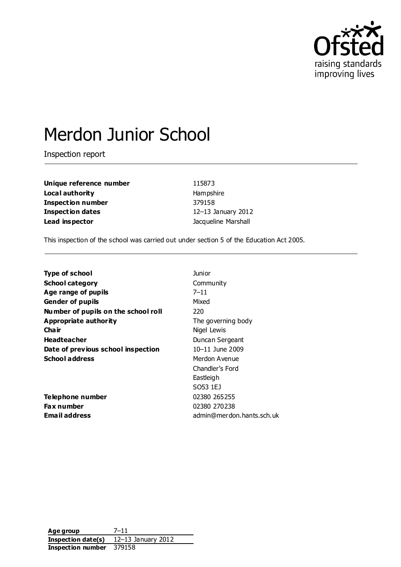

# Merdon Junior School

Inspection report

**Unique reference number** 115873 **Local authority Hampshire Inspection number** 379158 **Inspection dates** 12–13 January 2012 **Lead inspector Contract Contract Contract Contract Contract Contract Contract Contract Contract Contract Contract Contract Contract Contract Contract Contract Contract Contract Contract Contract Contract Contract Contra** 

This inspection of the school was carried out under section 5 of the Education Act 2005.

| <b>Type of school</b>               | Junior                    |
|-------------------------------------|---------------------------|
| <b>School category</b>              | Community                 |
| Age range of pupils                 | $7 - 11$                  |
| <b>Gender of pupils</b>             | Mixed                     |
| Number of pupils on the school roll | 220                       |
| <b>Appropriate authority</b>        | The governing body        |
| Cha ir                              | Nigel Lewis               |
| <b>Headteacher</b>                  | Duncan Sergeant           |
| Date of previous school inspection  | 10-11 June 2009           |
| <b>School address</b>               | Merdon Avenue             |
|                                     | Chandler's Ford           |
|                                     | Eastleigh                 |
|                                     | SO53 1EJ                  |
| Telephone number                    | 02380 265255              |
| Fax number                          | 02380 270238              |
| <b>Email address</b>                | admin@merdon.hants.sch.uk |

**Age group** 7–11 **Inspection date(s)** 12–13 January 2012 **Inspection number** 379158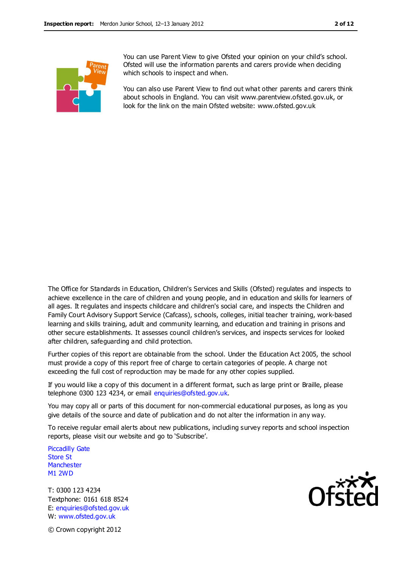

You can use Parent View to give Ofsted your opinion on your child's school. Ofsted will use the information parents and carers provide when deciding which schools to inspect and when.

You can also use Parent View to find out what other parents and carers think about schools in England. You can visit www.parentview.ofsted.gov.uk, or look for the link on the main Ofsted website: www.ofsted.gov.uk

The Office for Standards in Education, Children's Services and Skills (Ofsted) regulates and inspects to achieve excellence in the care of children and young people, and in education and skills for learners of all ages. It regulates and inspects childcare and children's social care, and inspects the Children and Family Court Advisory Support Service (Cafcass), schools, colleges, initial teacher training, work-based learning and skills training, adult and community learning, and education and training in prisons and other secure establishments. It assesses council children's services, and inspects services for looked after children, safeguarding and child protection.

Further copies of this report are obtainable from the school. Under the Education Act 2005, the school must provide a copy of this report free of charge to certain categories of people. A charge not exceeding the full cost of reproduction may be made for any other copies supplied.

If you would like a copy of this document in a different format, such as large print or Braille, please telephone 0300 123 4234, or email enquiries@ofsted.gov.uk.

You may copy all or parts of this document for non-commercial educational purposes, as long as you give details of the source and date of publication and do not alter the information in any way.

To receive regular email alerts about new publications, including survey reports and school inspection reports, please visit our website and go to 'Subscribe'.

Piccadilly Gate Store St **Manchester** M1 2WD

T: 0300 123 4234 Textphone: 0161 618 8524 E: enquiries@ofsted.gov.uk W: www.ofsted.gov.uk



© Crown copyright 2012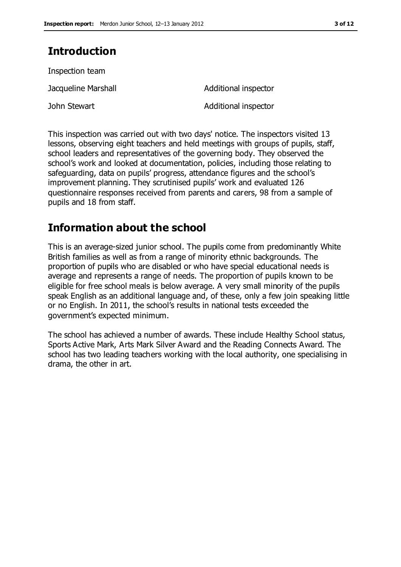## **Introduction**

| Inspection team     |                      |
|---------------------|----------------------|
| Jacqueline Marshall | Additional inspector |
| John Stewart        | Additional inspector |

This inspection was carried out with two days' notice. The inspectors visited 13 lessons, observing eight teachers and held meetings with groups of pupils, staff, school leaders and representatives of the governing body. They observed the school's work and looked at documentation, policies, including those relating to safeguarding, data on pupils' progress, attendance figures and the school's improvement planning. They scrutinised pupils' work and evaluated 126 questionnaire responses received from parents and carers, 98 from a sample of pupils and 18 from staff.

## **Information about the school**

This is an average-sized junior school. The pupils come from predominantly White British families as well as from a range of minority ethnic backgrounds. The proportion of pupils who are disabled or who have special educational needs is average and represents a range of needs. The proportion of pupils known to be eligible for free school meals is below average. A very small minority of the pupils speak English as an additional language and, of these, only a few join speaking little or no English. In 2011, the school's results in national tests exceeded the government's expected minimum.

The school has achieved a number of awards. These include Healthy School status, Sports Active Mark, Arts Mark Silver Award and the Reading Connects Award. The school has two leading teachers working with the local authority, one specialising in drama, the other in art.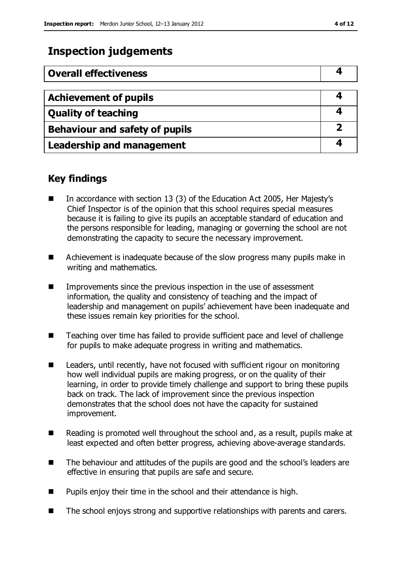## **Inspection judgements**

| <b>Overall effectiveness</b>          |  |
|---------------------------------------|--|
|                                       |  |
| <b>Achievement of pupils</b>          |  |
| <b>Quality of teaching</b>            |  |
| <b>Behaviour and safety of pupils</b> |  |
| <b>Leadership and management</b>      |  |

### **Key findings**

- In accordance with section 13 (3) of the Education Act 2005, Her Majesty's Chief Inspector is of the opinion that this school requires special measures because it is failing to give its pupils an acceptable standard of education and the persons responsible for leading, managing or governing the school are not demonstrating the capacity to secure the necessary improvement.
- Achievement is inadequate because of the slow progress many pupils make in writing and mathematics.
- **IMPROMENTED Improvements since the previous inspection in the use of assessment** information, the quality and consistency of teaching and the impact of leadership and management on pupils' achievement have been inadequate and these issues remain key priorities for the school.
- Teaching over time has failed to provide sufficient pace and level of challenge for pupils to make adequate progress in writing and mathematics.
- Leaders, until recently, have not focused with sufficient rigour on monitoring how well individual pupils are making progress, or on the quality of their learning, in order to provide timely challenge and support to bring these pupils back on track. The lack of improvement since the previous inspection demonstrates that the school does not have the capacity for sustained improvement.
- Reading is promoted well throughout the school and, as a result, pupils make at least expected and often better progress, achieving above-average standards.
- The behaviour and attitudes of the pupils are good and the school's leaders are effective in ensuring that pupils are safe and secure.
- $\blacksquare$  Pupils enjoy their time in the school and their attendance is high.
- The school enjoys strong and supportive relationships with parents and carers.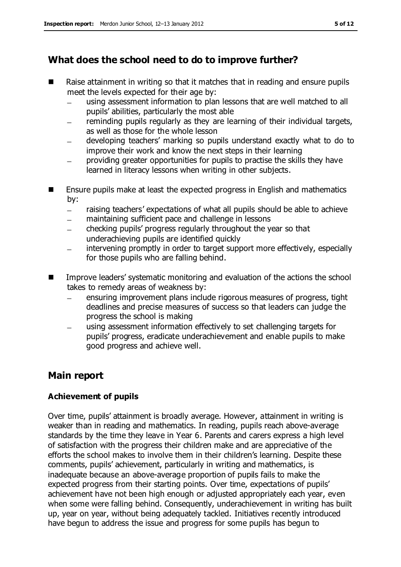## **What does the school need to do to improve further?**

- Raise attainment in writing so that it matches that in reading and ensure pupils meet the levels expected for their age by:
	- using assessment information to plan lessons that are well matched to all pupils' abilities, particularly the most able
	- reminding pupils regularly as they are learning of their individual targets,  $\equiv$ as well as those for the whole lesson
	- developing teachers' marking so pupils understand exactly what to do to improve their work and know the next steps in their learning
	- providing greater opportunities for pupils to practise the skills they have learned in literacy lessons when writing in other subjects.
- **E** Ensure pupils make at least the expected progress in English and mathematics by:
	- raising teachers' expectations of what all pupils should be able to achieve  $\equiv$
	- maintaining sufficient pace and challenge in lessons
	- checking pupils' progress regularly throughout the year so that  $\overline{\phantom{0}}$ underachieving pupils are identified quickly
	- intervening promptly in order to target support more effectively, especially for those pupils who are falling behind.
- Improve leaders' systematic monitoring and evaluation of the actions the school takes to remedy areas of weakness by:
	- ensuring improvement plans include rigorous measures of progress, tight  $\equiv$ deadlines and precise measures of success so that leaders can judge the progress the school is making
	- using assessment information effectively to set challenging targets for pupils' progress, eradicate underachievement and enable pupils to make good progress and achieve well.

## **Main report**

#### **Achievement of pupils**

Over time, pupils' attainment is broadly average. However, attainment in writing is weaker than in reading and mathematics. In reading, pupils reach above-average standards by the time they leave in Year 6. Parents and carers express a high level of satisfaction with the progress their children make and are appreciative of the efforts the school makes to involve them in their children's learning. Despite these comments, pupils' achievement, particularly in writing and mathematics, is inadequate because an above-average proportion of pupils fails to make the expected progress from their starting points. Over time, expectations of pupils' achievement have not been high enough or adjusted appropriately each year, even when some were falling behind. Consequently, underachievement in writing has built up, year on year, without being adequately tackled. Initiatives recently introduced have begun to address the issue and progress for some pupils has begun to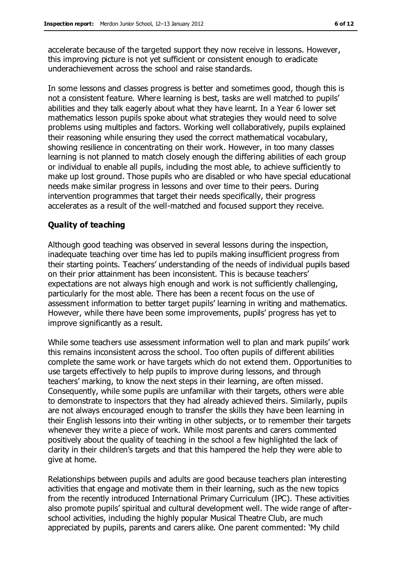accelerate because of the targeted support they now receive in lessons. However, this improving picture is not yet sufficient or consistent enough to eradicate underachievement across the school and raise standards.

In some lessons and classes progress is better and sometimes good, though this is not a consistent feature. Where learning is best, tasks are well matched to pupils' abilities and they talk eagerly about what they have learnt. In a Year 6 lower set mathematics lesson pupils spoke about what strategies they would need to solve problems using multiples and factors. Working well collaboratively, pupils explained their reasoning while ensuring they used the correct mathematical vocabulary, showing resilience in concentrating on their work. However, in too many classes learning is not planned to match closely enough the differing abilities of each group or individual to enable all pupils, including the most able, to achieve sufficiently to make up lost ground. Those pupils who are disabled or who have special educational needs make similar progress in lessons and over time to their peers. During intervention programmes that target their needs specifically, their progress accelerates as a result of the well-matched and focused support they receive.

#### **Quality of teaching**

Although good teaching was observed in several lessons during the inspection, inadequate teaching over time has led to pupils making insufficient progress from their starting points. Teachers' understanding of the needs of individual pupils based on their prior attainment has been inconsistent. This is because teachers' expectations are not always high enough and work is not sufficiently challenging, particularly for the most able. There has been a recent focus on the use of assessment information to better target pupils' learning in writing and mathematics. However, while there have been some improvements, pupils' progress has yet to improve significantly as a result.

While some teachers use assessment information well to plan and mark pupils' work this remains inconsistent across the school. Too often pupils of different abilities complete the same work or have targets which do not extend them. Opportunities to use targets effectively to help pupils to improve during lessons, and through teachers' marking, to know the next steps in their learning, are often missed. Consequently, while some pupils are unfamiliar with their targets, others were able to demonstrate to inspectors that they had already achieved theirs. Similarly, pupils are not always encouraged enough to transfer the skills they have been learning in their English lessons into their writing in other subjects, or to remember their targets whenever they write a piece of work. While most parents and carers commented positively about the quality of teaching in the school a few highlighted the lack of clarity in their children's targets and that this hampered the help they were able to give at home.

Relationships between pupils and adults are good because teachers plan interesting activities that engage and motivate them in their learning, such as the new topics from the recently introduced International Primary Curriculum (IPC). These activities also promote pupils' spiritual and cultural development well. The wide range of afterschool activities, including the highly popular Musical Theatre Club, are much appreciated by pupils, parents and carers alike. One parent commented: 'My child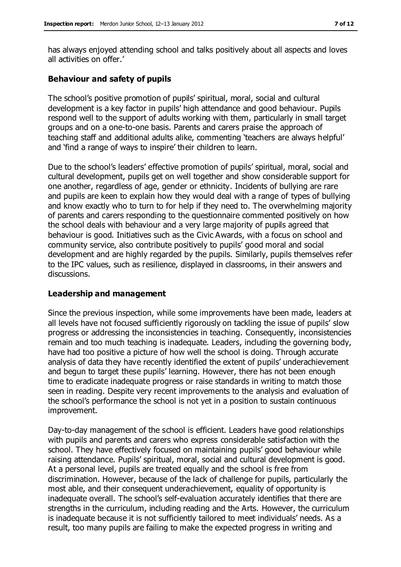has always enjoyed attending school and talks positively about all aspects and loves all activities on offer.'

#### **Behaviour and safety of pupils**

The school's positive promotion of pupils' spiritual, moral, social and cultural development is a key factor in pupils' high attendance and good behaviour. Pupils respond well to the support of adults working with them, particularly in small target groups and on a one-to-one basis. Parents and carers praise the approach of teaching staff and additional adults alike, commenting 'teachers are always helpful' and 'find a range of ways to inspire' their children to learn.

Due to the school's leaders' effective promotion of pupils' spiritual, moral, social and cultural development, pupils get on well together and show considerable support for one another, regardless of age, gender or ethnicity. Incidents of bullying are rare and pupils are keen to explain how they would deal with a range of types of bullying and know exactly who to turn to for help if they need to. The overwhelming majority of parents and carers responding to the questionnaire commented positively on how the school deals with behaviour and a very large majority of pupils agreed that behaviour is good. Initiatives such as the Civic Awards, with a focus on school and community service, also contribute positively to pupils' good moral and social development and are highly regarded by the pupils. Similarly, pupils themselves refer to the IPC values, such as resilience, displayed in classrooms, in their answers and discussions.

#### **Leadership and management**

Since the previous inspection, while some improvements have been made, leaders at all levels have not focused sufficiently rigorously on tackling the issue of pupils' slow progress or addressing the inconsistencies in teaching. Consequently, inconsistencies remain and too much teaching is inadequate. Leaders, including the governing body, have had too positive a picture of how well the school is doing. Through accurate analysis of data they have recently identified the extent of pupils' underachievement and begun to target these pupils' learning. However, there has not been enough time to eradicate inadequate progress or raise standards in writing to match those seen in reading. Despite very recent improvements to the analysis and evaluation of the school's performance the school is not yet in a position to sustain continuous improvement.

Day-to-day management of the school is efficient. Leaders have good relationships with pupils and parents and carers who express considerable satisfaction with the school. They have effectively focused on maintaining pupils' good behaviour while raising attendance. Pupils' spiritual, moral, social and cultural development is good. At a personal level, pupils are treated equally and the school is free from discrimination. However, because of the lack of challenge for pupils, particularly the most able, and their consequent underachievement, equality of opportunity is inadequate overall. The school's self-evaluation accurately identifies that there are strengths in the curriculum, including reading and the Arts. However, the curriculum is inadequate because it is not sufficiently tailored to meet individuals' needs. As a result, too many pupils are failing to make the expected progress in writing and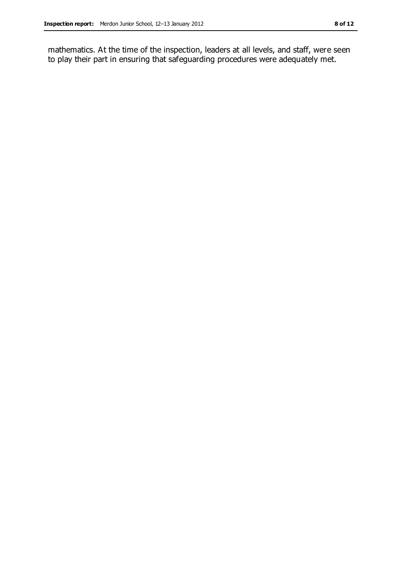mathematics. At the time of the inspection, leaders at all levels, and staff, were seen to play their part in ensuring that safeguarding procedures were adequately met.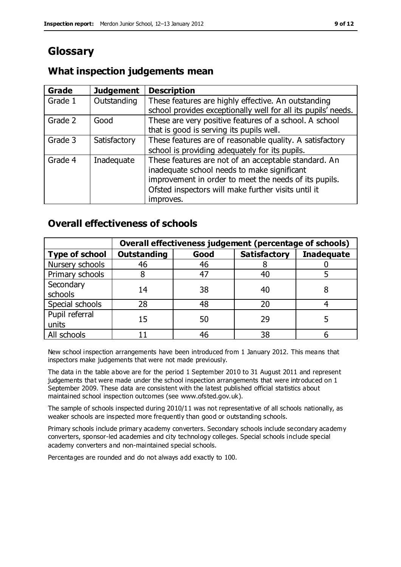## **Glossary**

### **What inspection judgements mean**

| Grade   | <b>Judgement</b> | <b>Description</b>                                                                                                   |
|---------|------------------|----------------------------------------------------------------------------------------------------------------------|
| Grade 1 | Outstanding      | These features are highly effective. An outstanding<br>school provides exceptionally well for all its pupils' needs. |
|         |                  |                                                                                                                      |
| Grade 2 | Good             | These are very positive features of a school. A school                                                               |
|         |                  | that is good is serving its pupils well.                                                                             |
| Grade 3 | Satisfactory     | These features are of reasonable quality. A satisfactory                                                             |
|         |                  | school is providing adequately for its pupils.                                                                       |
| Grade 4 | Inadequate       | These features are not of an acceptable standard. An                                                                 |
|         |                  | inadequate school needs to make significant                                                                          |
|         |                  | improvement in order to meet the needs of its pupils.                                                                |
|         |                  | Ofsted inspectors will make further visits until it                                                                  |
|         |                  | improves.                                                                                                            |

### **Overall effectiveness of schools**

|                         | Overall effectiveness judgement (percentage of schools) |      |                     |                   |
|-------------------------|---------------------------------------------------------|------|---------------------|-------------------|
| <b>Type of school</b>   | <b>Outstanding</b>                                      | Good | <b>Satisfactory</b> | <b>Inadequate</b> |
| Nursery schools         | 46                                                      | 46   |                     |                   |
| Primary schools         |                                                         | 47   | 40                  |                   |
| Secondary<br>schools    | 14                                                      | 38   | 40                  |                   |
| Special schools         | 28                                                      | 48   | 20                  |                   |
| Pupil referral<br>units | 15                                                      | 50   | 29                  |                   |
| All schools             |                                                         | 46   | 38                  |                   |

New school inspection arrangements have been introduced from 1 January 2012. This means that inspectors make judgements that were not made previously.

The data in the table above are for the period 1 September 2010 to 31 August 2011 and represent judgements that were made under the school inspection arrangements that were introduced on 1 September 2009. These data are consistent with the latest published official statistics about maintained school inspection outcomes (see www.ofsted.gov.uk).

The sample of schools inspected during 2010/11 was not representative of all schools nationally, as weaker schools are inspected more frequently than good or outstanding schools.

Primary schools include primary academy converters. Secondary schools include secondary academy converters, sponsor-led academies and city technology colleges. Special schools include special academy converters and non-maintained special schools.

Percentages are rounded and do not always add exactly to 100.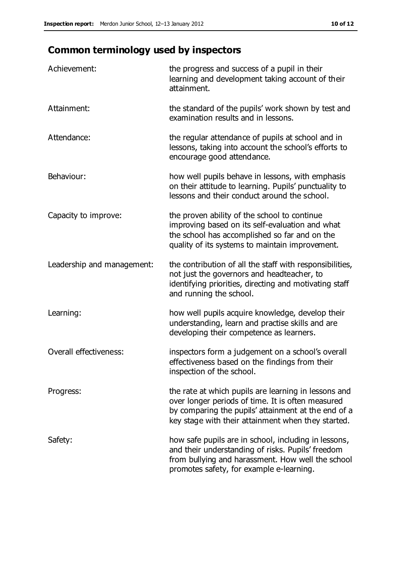## **Common terminology used by inspectors**

| Achievement:               | the progress and success of a pupil in their<br>learning and development taking account of their<br>attainment.                                                                                                        |
|----------------------------|------------------------------------------------------------------------------------------------------------------------------------------------------------------------------------------------------------------------|
| Attainment:                | the standard of the pupils' work shown by test and<br>examination results and in lessons.                                                                                                                              |
| Attendance:                | the regular attendance of pupils at school and in<br>lessons, taking into account the school's efforts to<br>encourage good attendance.                                                                                |
| Behaviour:                 | how well pupils behave in lessons, with emphasis<br>on their attitude to learning. Pupils' punctuality to<br>lessons and their conduct around the school.                                                              |
| Capacity to improve:       | the proven ability of the school to continue<br>improving based on its self-evaluation and what<br>the school has accomplished so far and on the<br>quality of its systems to maintain improvement.                    |
| Leadership and management: | the contribution of all the staff with responsibilities,<br>not just the governors and headteacher, to<br>identifying priorities, directing and motivating staff<br>and running the school.                            |
| Learning:                  | how well pupils acquire knowledge, develop their<br>understanding, learn and practise skills and are<br>developing their competence as learners.                                                                       |
| Overall effectiveness:     | inspectors form a judgement on a school's overall<br>effectiveness based on the findings from their<br>inspection of the school.                                                                                       |
| Progress:                  | the rate at which pupils are learning in lessons and<br>over longer periods of time. It is often measured<br>by comparing the pupils' attainment at the end of a<br>key stage with their attainment when they started. |
| Safety:                    | how safe pupils are in school, including in lessons,<br>and their understanding of risks. Pupils' freedom<br>from bullying and harassment. How well the school<br>promotes safety, for example e-learning.             |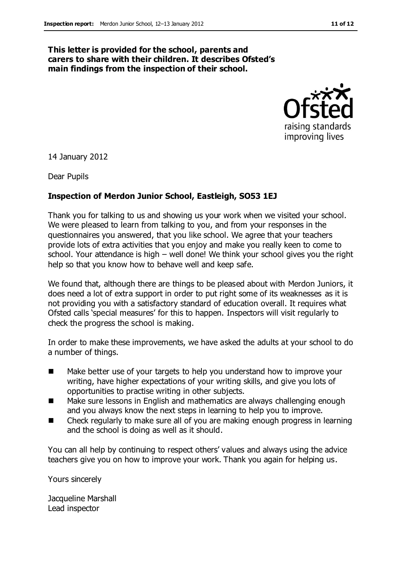#### **This letter is provided for the school, parents and carers to share with their children. It describes Ofsted's main findings from the inspection of their school.**



14 January 2012

Dear Pupils

#### **Inspection of Merdon Junior School, Eastleigh, SO53 1EJ**

Thank you for talking to us and showing us your work when we visited your school. We were pleased to learn from talking to you, and from your responses in the questionnaires you answered, that you like school. We agree that your teachers provide lots of extra activities that you enjoy and make you really keen to come to school. Your attendance is high – well done! We think your school gives you the right help so that you know how to behave well and keep safe.

We found that, although there are things to be pleased about with Merdon Juniors, it does need a lot of extra support in order to put right some of its weaknesses as it is not providing you with a satisfactory standard of education overall. It requires what Ofsted calls 'special measures' for this to happen. Inspectors will visit regularly to check the progress the school is making.

In order to make these improvements, we have asked the adults at your school to do a number of things.

- Make better use of your targets to help you understand how to improve your writing, have higher expectations of your writing skills, and give you lots of opportunities to practise writing in other subjects.
- Make sure lessons in English and mathematics are always challenging enough and you always know the next steps in learning to help you to improve.
- Check regularly to make sure all of you are making enough progress in learning and the school is doing as well as it should.

You can all help by continuing to respect others' values and always using the advice teachers give you on how to improve your work. Thank you again for helping us.

Yours sincerely

Jacqueline Marshall Lead inspector